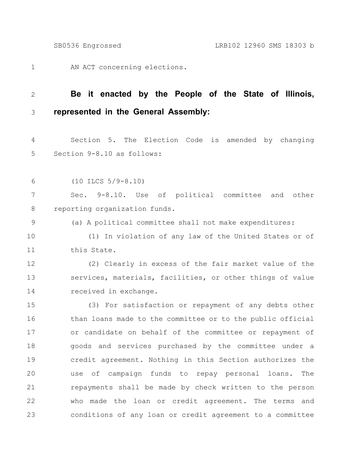AN ACT concerning elections. 1

## **Be it enacted by the People of the State of Illinois, represented in the General Assembly:** 2 3

Section 5. The Election Code is amended by changing Section 9-8.10 as follows: 4 5

(10 ILCS 5/9-8.10) 6

Sec. 9-8.10. Use of political committee and other reporting organization funds. 7 8

(a) A political committee shall not make expenditures: 9

(1) In violation of any law of the United States or of this State. 10 11

(2) Clearly in excess of the fair market value of the services, materials, facilities, or other things of value received in exchange. 12 13 14

(3) For satisfaction or repayment of any debts other than loans made to the committee or to the public official or candidate on behalf of the committee or repayment of goods and services purchased by the committee under a credit agreement. Nothing in this Section authorizes the use of campaign funds to repay personal loans. The repayments shall be made by check written to the person who made the loan or credit agreement. The terms and conditions of any loan or credit agreement to a committee 15 16 17 18 19 20 21 22 23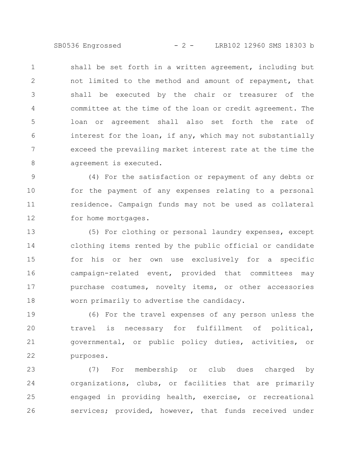SB0536 Engrossed - 2 - LRB102 12960 SMS 18303 b

shall be set forth in a written agreement, including but not limited to the method and amount of repayment, that shall be executed by the chair or treasurer of the committee at the time of the loan or credit agreement. The loan or agreement shall also set forth the rate of interest for the loan, if any, which may not substantially exceed the prevailing market interest rate at the time the agreement is executed. 1 2 3 4 5 6 7 8

(4) For the satisfaction or repayment of any debts or for the payment of any expenses relating to a personal residence. Campaign funds may not be used as collateral for home mortgages. 9 10 11 12

(5) For clothing or personal laundry expenses, except clothing items rented by the public official or candidate for his or her own use exclusively for a specific campaign-related event, provided that committees may purchase costumes, novelty items, or other accessories worn primarily to advertise the candidacy. 13 14 15 16 17 18

(6) For the travel expenses of any person unless the travel is necessary for fulfillment of political, governmental, or public policy duties, activities, or purposes. 19 20 21 22

(7) For membership or club dues charged by organizations, clubs, or facilities that are primarily engaged in providing health, exercise, or recreational services; provided, however, that funds received under 23 24 25 26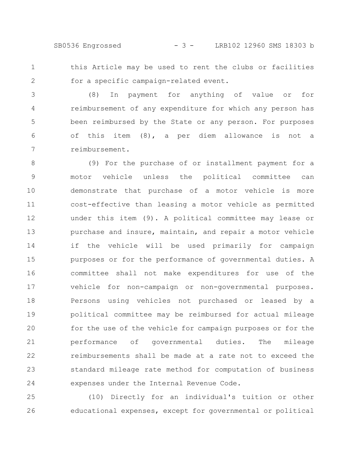SB0536 Engrossed - 3 - LRB102 12960 SMS 18303 b

this Article may be used to rent the clubs or facilities for a specific campaign-related event. 1 2

(8) In payment for anything of value or for reimbursement of any expenditure for which any person has been reimbursed by the State or any person. For purposes of this item (8), a per diem allowance is not a reimbursement. 3 4 5 6 7

(9) For the purchase of or installment payment for a motor vehicle unless the political committee can demonstrate that purchase of a motor vehicle is more cost-effective than leasing a motor vehicle as permitted under this item (9). A political committee may lease or purchase and insure, maintain, and repair a motor vehicle if the vehicle will be used primarily for campaign purposes or for the performance of governmental duties. A committee shall not make expenditures for use of the vehicle for non-campaign or non-governmental purposes. Persons using vehicles not purchased or leased by a political committee may be reimbursed for actual mileage for the use of the vehicle for campaign purposes or for the performance of governmental duties. The mileage reimbursements shall be made at a rate not to exceed the standard mileage rate method for computation of business expenses under the Internal Revenue Code. 8 9 10 11 12 13 14 15 16 17 18 19 20 21 22 23 24

(10) Directly for an individual's tuition or other educational expenses, except for governmental or political 25 26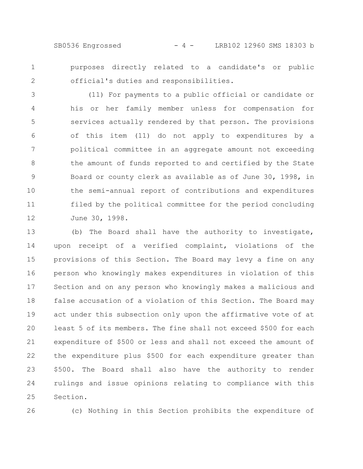SB0536 Engrossed - 4 - LRB102 12960 SMS 18303 b

purposes directly related to a candidate's or public official's duties and responsibilities. 1 2

(11) For payments to a public official or candidate or his or her family member unless for compensation for services actually rendered by that person. The provisions of this item (11) do not apply to expenditures by a political committee in an aggregate amount not exceeding the amount of funds reported to and certified by the State Board or county clerk as available as of June 30, 1998, in the semi-annual report of contributions and expenditures filed by the political committee for the period concluding June 30, 1998. 3 4 5 6 7 8 9 10 11 12

(b) The Board shall have the authority to investigate, upon receipt of a verified complaint, violations of the provisions of this Section. The Board may levy a fine on any person who knowingly makes expenditures in violation of this Section and on any person who knowingly makes a malicious and false accusation of a violation of this Section. The Board may act under this subsection only upon the affirmative vote of at least 5 of its members. The fine shall not exceed \$500 for each expenditure of \$500 or less and shall not exceed the amount of the expenditure plus \$500 for each expenditure greater than \$500. The Board shall also have the authority to render rulings and issue opinions relating to compliance with this Section. 13 14 15 16 17 18 19 20 21 22 23 24 25

26

(c) Nothing in this Section prohibits the expenditure of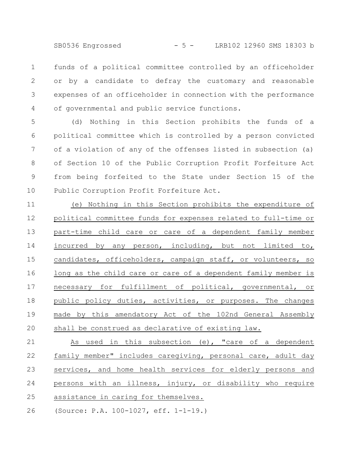SB0536 Engrossed - 5 - LRB102 12960 SMS 18303 b

funds of a political committee controlled by an officeholder or by a candidate to defray the customary and reasonable expenses of an officeholder in connection with the performance of governmental and public service functions. 1 2 3 4

(d) Nothing in this Section prohibits the funds of a political committee which is controlled by a person convicted of a violation of any of the offenses listed in subsection (a) of Section 10 of the Public Corruption Profit Forfeiture Act from being forfeited to the State under Section 15 of the Public Corruption Profit Forfeiture Act. 5 6 7 8 9 10

(e) Nothing in this Section prohibits the expenditure of political committee funds for expenses related to full-time or part-time child care or care of a dependent family member incurred by any person, including, but not limited to, candidates, officeholders, campaign staff, or volunteers, so long as the child care or care of a dependent family member is necessary for fulfillment of political, governmental, or public policy duties, activities, or purposes. The changes made by this amendatory Act of the 102nd General Assembly shall be construed as declarative of existing law. 11 12 13 14 15 16 17 18 19 20

As used in this subsection (e), "care of a dependent family member" includes caregiving, personal care, adult day services, and home health services for elderly persons and persons with an illness, injury, or disability who require assistance in caring for themselves. 21 22 23 24 25

(Source: P.A. 100-1027, eff. 1-1-19.) 26